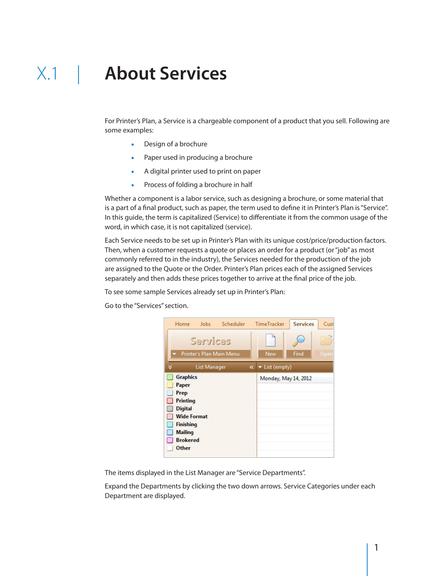## X.1 | **About Services**

For Printer's Plan, a Service is a chargeable component of a product that you sell. Following are some examples:

- . Design of a brochure
- . Paper used in producing a brochure
- . A digital printer used to print on paper
- . Process of folding a brochure in half

Whether a component is a labor service, such as designing a brochure, or some material that is a part of a final product, such as paper, the term used to define it in Printer's Plan is "Service". In this guide, the term is capitalized (Service) to differentiate it from the common usage of the word, in which case, it is not capitalized (service).

Each Service needs to be set up in Printer's Plan with its unique cost/price/production factors. Then, when a customer requests a quote or places an order for a product (or "job" as most commonly referred to in the industry), the Services needed for the production of the job are assigned to the Quote or the Order. Printer's Plan prices each of the assigned Services separately and then adds these prices together to arrive at the final price of the job.

To see some sample Services already set up in Printer's Plan:

Go to the "Services" section.



The items displayed in the List Manager are "Service Departments".

Expand the Departments by clicking the two down arrows. Service Categories under each Department are displayed.